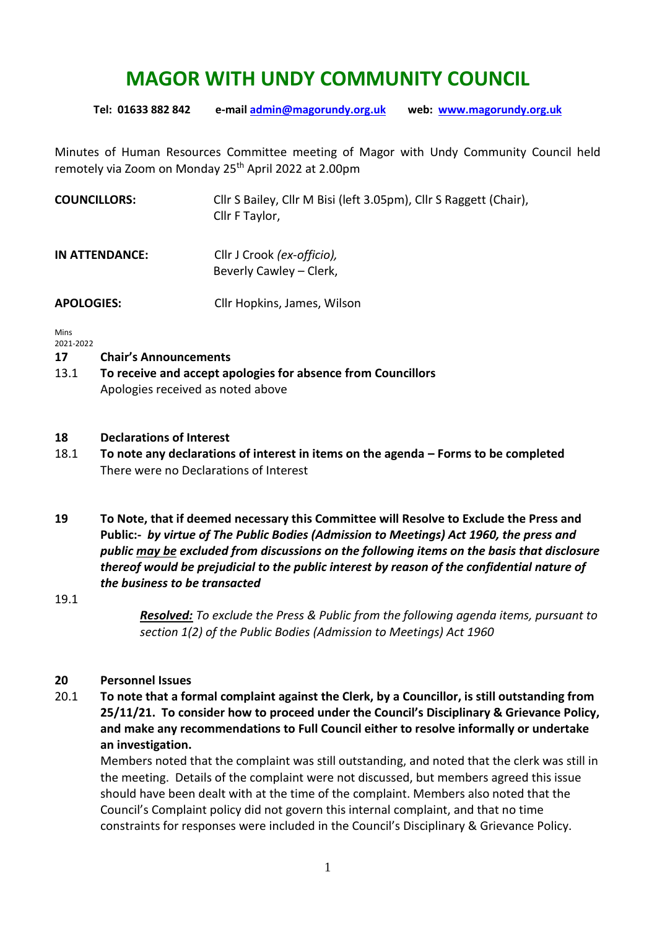# **MAGOR WITH UNDY COMMUNITY COUNCIL**

**Tel: 01633 882 842 e-mai[l admin@magorundy.org.uk](mailto:admin@magorundy.org.uk) web: [www.magorundy.org.uk](http://www.magorundy.org.uk/)**

Minutes of Human Resources Committee meeting of Magor with Undy Community Council held remotely via Zoom on Monday 25<sup>th</sup> April 2022 at 2.00pm

| <b>COUNCILLORS:</b> | Cllr S Bailey, Cllr M Bisi (left 3.05pm), Cllr S Raggett (Chair),<br>Cllr F Taylor, |
|---------------------|-------------------------------------------------------------------------------------|
| IN ATTENDANCE:      | Cllr J Crook (ex-officio),<br>Beverly Cawley – Clerk,                               |

**APOLOGIES:** Cllr Hopkins, James, Wilson

Mins 2021-2022

## **17 Chair's Announcements**

13.1 **To receive and accept apologies for absence from Councillors** Apologies received as noted above

## **18 Declarations of Interest**

- 18.1 **To note any declarations of interest in items on the agenda – Forms to be completed** There were no Declarations of Interest
- **19 To Note, that if deemed necessary this Committee will Resolve to Exclude the Press and Public:-** *by virtue of The Public Bodies (Admission to Meetings) Act 1960, the press and public may be excluded from discussions on the following items on the basis that disclosure thereof would be prejudicial to the public interest by reason of the confidential nature of the business to be transacted*

19.1

*Resolved: To exclude the Press & Public from the following agenda items, pursuant to section 1(2) of the Public Bodies (Admission to Meetings) Act 1960*

## **20 Personnel Issues**

20.1 **To note that a formal complaint against the Clerk, by a Councillor, is still outstanding from 25/11/21. To consider how to proceed under the Council's Disciplinary & Grievance Policy, and make any recommendations to Full Council either to resolve informally or undertake an investigation.**

Members noted that the complaint was still outstanding, and noted that the clerk was still in the meeting. Details of the complaint were not discussed, but members agreed this issue should have been dealt with at the time of the complaint. Members also noted that the Council's Complaint policy did not govern this internal complaint, and that no time constraints for responses were included in the Council's Disciplinary & Grievance Policy.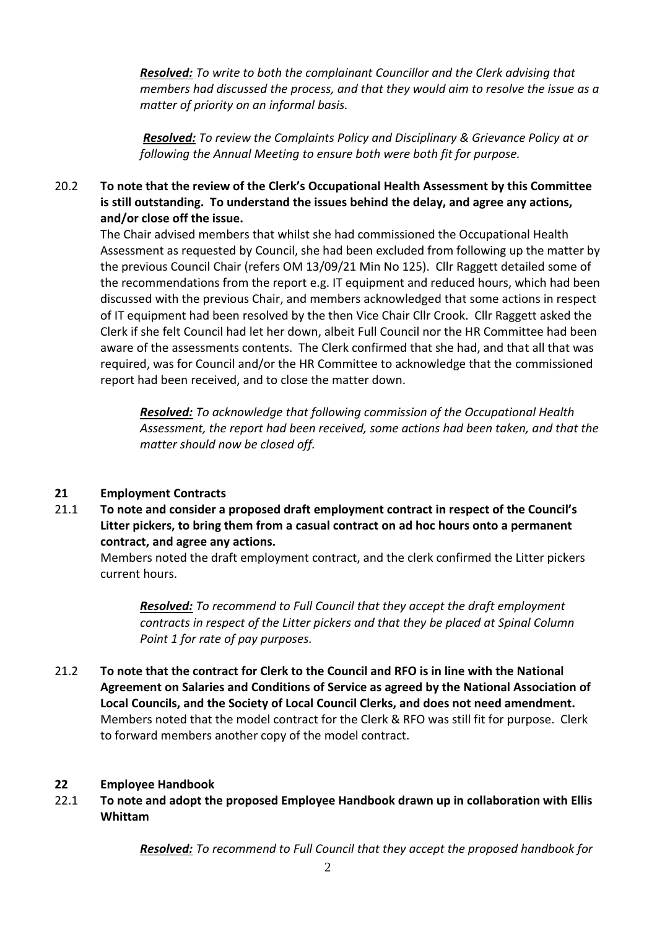*Resolved: To write to both the complainant Councillor and the Clerk advising that members had discussed the process, and that they would aim to resolve the issue as a matter of priority on an informal basis.*

*Resolved: To review the Complaints Policy and Disciplinary & Grievance Policy at or following the Annual Meeting to ensure both were both fit for purpose.*

## 20.2 **To note that the review of the Clerk's Occupational Health Assessment by this Committee is still outstanding. To understand the issues behind the delay, and agree any actions, and/or close off the issue.**

The Chair advised members that whilst she had commissioned the Occupational Health Assessment as requested by Council, she had been excluded from following up the matter by the previous Council Chair (refers OM 13/09/21 Min No 125). Cllr Raggett detailed some of the recommendations from the report e.g. IT equipment and reduced hours, which had been discussed with the previous Chair, and members acknowledged that some actions in respect of IT equipment had been resolved by the then Vice Chair Cllr Crook. Cllr Raggett asked the Clerk if she felt Council had let her down, albeit Full Council nor the HR Committee had been aware of the assessments contents. The Clerk confirmed that she had, and that all that was required, was for Council and/or the HR Committee to acknowledge that the commissioned report had been received, and to close the matter down.

*Resolved: To acknowledge that following commission of the Occupational Health Assessment, the report had been received, some actions had been taken, and that the matter should now be closed off.*

## **21 Employment Contracts**

21.1 **To note and consider a proposed draft employment contract in respect of the Council's Litter pickers, to bring them from a casual contract on ad hoc hours onto a permanent contract, and agree any actions.**

Members noted the draft employment contract, and the clerk confirmed the Litter pickers current hours.

*Resolved: To recommend to Full Council that they accept the draft employment contracts in respect of the Litter pickers and that they be placed at Spinal Column Point 1 for rate of pay purposes.*

21.2 **To note that the contract for Clerk to the Council and RFO is in line with the National Agreement on Salaries and Conditions of Service as agreed by the National Association of Local Councils, and the Society of Local Council Clerks, and does not need amendment.** Members noted that the model contract for the Clerk & RFO was still fit for purpose. Clerk to forward members another copy of the model contract.

## **22 Employee Handbook**

22.1 **To note and adopt the proposed Employee Handbook drawn up in collaboration with Ellis Whittam** 

*Resolved: To recommend to Full Council that they accept the proposed handbook for*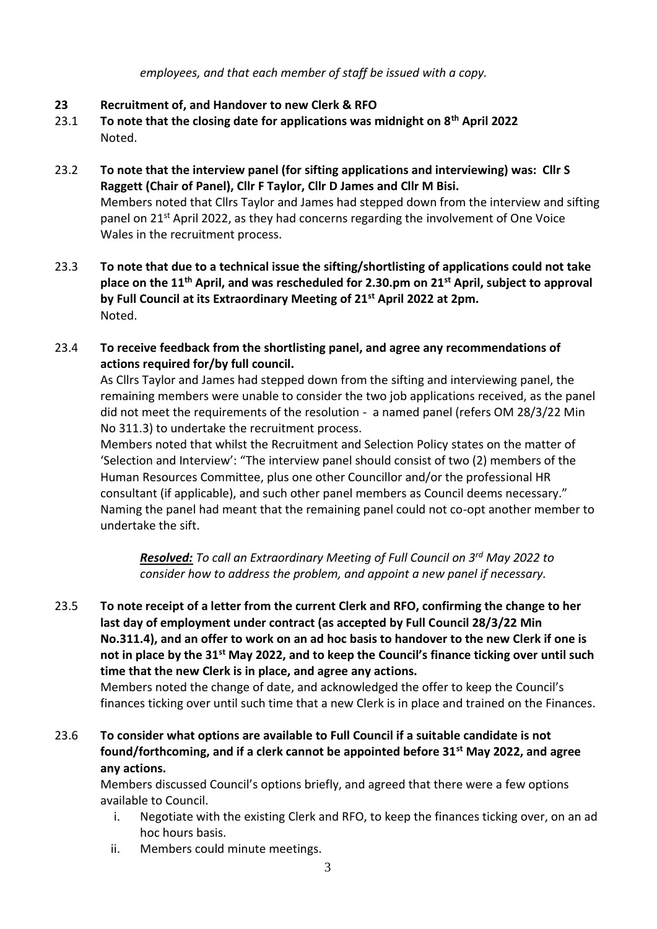*employees, and that each member of staff be issued with a copy.*

- **23 Recruitment of, and Handover to new Clerk & RFO**
- 23.1 **To note that the closing date for applications was midnight on 8th April 2022** Noted.
- 23.2 **To note that the interview panel (for sifting applications and interviewing) was: Cllr S Raggett (Chair of Panel), Cllr F Taylor, Cllr D James and Cllr M Bisi.** Members noted that Cllrs Taylor and James had stepped down from the interview and sifting panel on  $21^{st}$  April 2022, as they had concerns regarding the involvement of One Voice Wales in the recruitment process.
- 23.3 **To note that due to a technical issue the sifting/shortlisting of applications could not take place on the 11th April, and was rescheduled for 2.30.pm on 21st April, subject to approval by Full Council at its Extraordinary Meeting of 21st April 2022 at 2pm.** Noted.
- 23.4 **To receive feedback from the shortlisting panel, and agree any recommendations of actions required for/by full council.**

As Cllrs Taylor and James had stepped down from the sifting and interviewing panel, the remaining members were unable to consider the two job applications received, as the panel did not meet the requirements of the resolution - a named panel (refers OM 28/3/22 Min No 311.3) to undertake the recruitment process.

Members noted that whilst the Recruitment and Selection Policy states on the matter of 'Selection and Interview': "The interview panel should consist of two (2) members of the Human Resources Committee, plus one other Councillor and/or the professional HR consultant (if applicable), and such other panel members as Council deems necessary." Naming the panel had meant that the remaining panel could not co-opt another member to undertake the sift.

*Resolved: To call an Extraordinary Meeting of Full Council on 3rd May 2022 to consider how to address the problem, and appoint a new panel if necessary.*

23.5 **To note receipt of a letter from the current Clerk and RFO, confirming the change to her last day of employment under contract (as accepted by Full Council 28/3/22 Min No.311.4), and an offer to work on an ad hoc basis to handover to the new Clerk if one is not in place by the 31st May 2022, and to keep the Council's finance ticking over until such time that the new Clerk is in place, and agree any actions.**

Members noted the change of date, and acknowledged the offer to keep the Council's finances ticking over until such time that a new Clerk is in place and trained on the Finances.

23.6 **To consider what options are available to Full Council if a suitable candidate is not found/forthcoming, and if a clerk cannot be appointed before 31st May 2022, and agree any actions.**

Members discussed Council's options briefly, and agreed that there were a few options available to Council.

- i. Negotiate with the existing Clerk and RFO, to keep the finances ticking over, on an ad hoc hours basis.
- ii. Members could minute meetings.